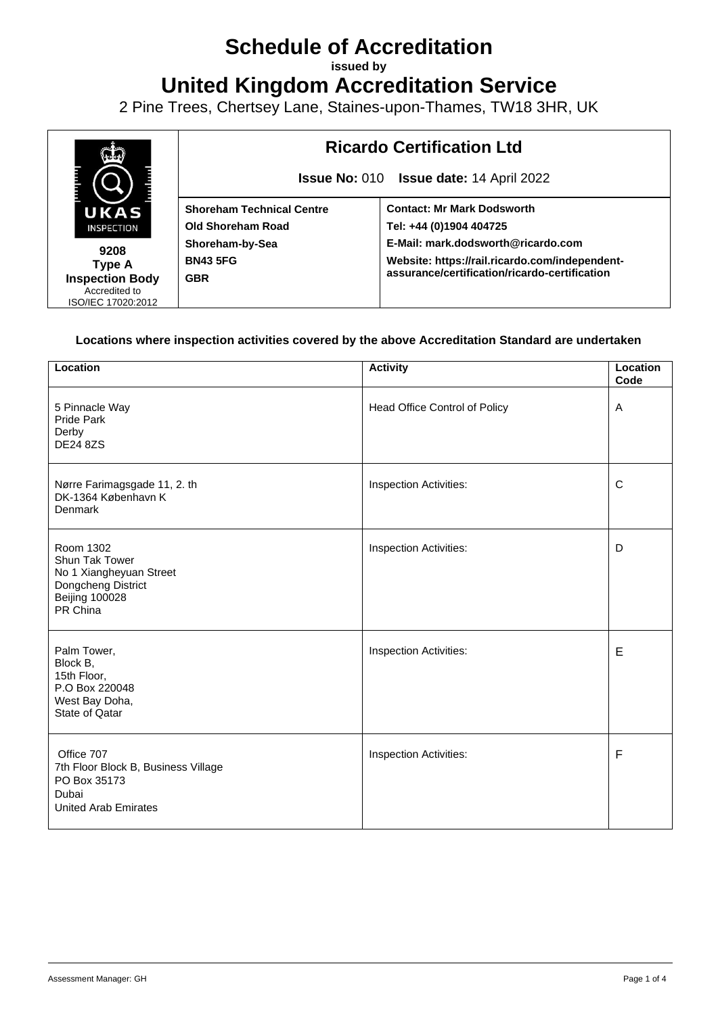# **Schedule of Accreditation**

**issued by**

**United Kingdom Accreditation Service**

2 Pine Trees, Chertsey Lane, Staines-upon-Thames, TW18 3HR, UK



#### **Locations where inspection activities covered by the above Accreditation Standard are undertaken**

| Location                                                                                                          | <b>Activity</b>               | Location<br>Code |
|-------------------------------------------------------------------------------------------------------------------|-------------------------------|------------------|
| 5 Pinnacle Way<br>Pride Park<br>Derby<br><b>DE24 8ZS</b>                                                          | Head Office Control of Policy | Α                |
| Nørre Farimagsgade 11, 2. th<br>DK-1364 København K<br>Denmark                                                    | Inspection Activities:        | C                |
| Room 1302<br>Shun Tak Tower<br>No 1 Xiangheyuan Street<br>Dongcheng District<br><b>Beijing 100028</b><br>PR China | Inspection Activities:        | D                |
| Palm Tower,<br>Block B,<br>15th Floor,<br>P.O Box 220048<br>West Bay Doha,<br>State of Qatar                      | Inspection Activities:        | E                |
| Office 707<br>7th Floor Block B, Business Village<br>PO Box 35173<br>Dubai<br><b>United Arab Emirates</b>         | Inspection Activities:        | F                |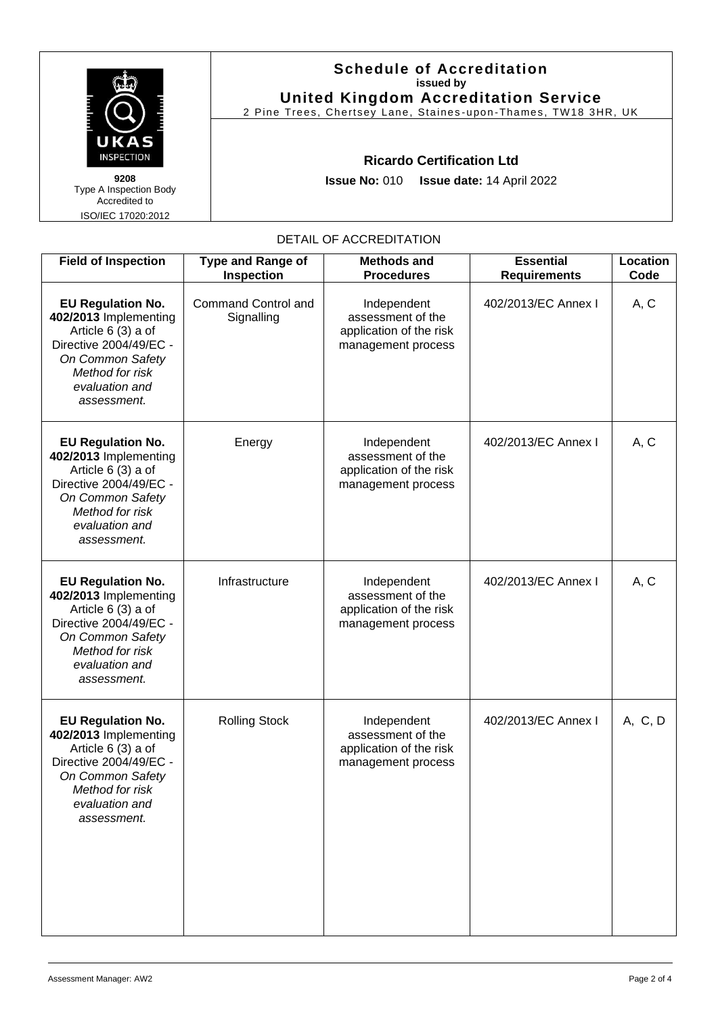

**9208** Type A Inspection Body Accredited to ISO/IEC 17020:2012

# **Schedule of Accreditation issued by United Kingdom Accreditation Service**

2 Pine Trees, Chertsey Lane, Staines -upon -Thames, TW18 3HR, UK

## **Ricardo Certification Ltd**

**Issue No:** 010 **Issue date:** 14 April 2022

### DETAIL OF ACCREDITATION

| <b>Field of Inspection</b>                                                                                                                                                       | <b>Type and Range of</b><br>Inspection   | <b>Methods and</b><br><b>Procedures</b>                                           | <b>Essential</b><br><b>Requirements</b> | Location<br>Code |
|----------------------------------------------------------------------------------------------------------------------------------------------------------------------------------|------------------------------------------|-----------------------------------------------------------------------------------|-----------------------------------------|------------------|
| <b>EU Regulation No.</b><br>402/2013 Implementing<br>Article 6 (3) a of<br>Directive 2004/49/EC -<br><b>On Common Safety</b><br>Method for risk<br>evaluation and<br>assessment. | <b>Command Control and</b><br>Signalling | Independent<br>assessment of the<br>application of the risk<br>management process | 402/2013/EC Annex I                     | A, C             |
| <b>EU Regulation No.</b><br>402/2013 Implementing<br>Article 6 (3) a of<br>Directive 2004/49/EC -<br>On Common Safety<br>Method for risk<br>evaluation and<br>assessment.        | Energy                                   | Independent<br>assessment of the<br>application of the risk<br>management process | 402/2013/EC Annex I                     | A, C             |
| <b>EU Regulation No.</b><br>402/2013 Implementing<br>Article 6 (3) a of<br>Directive 2004/49/EC -<br>On Common Safety<br>Method for risk<br>evaluation and<br>assessment.        | Infrastructure                           | Independent<br>assessment of the<br>application of the risk<br>management process | 402/2013/EC Annex I                     | A, C             |
| <b>EU Regulation No.</b><br>402/2013 Implementing<br>Article 6 (3) a of<br>Directive 2004/49/EC -<br>On Common Safety<br>Method for risk<br>evaluation and<br>assessment.        | <b>Rolling Stock</b>                     | Independent<br>assessment of the<br>application of the risk<br>management process | 402/2013/EC Annex I                     | A, C, D          |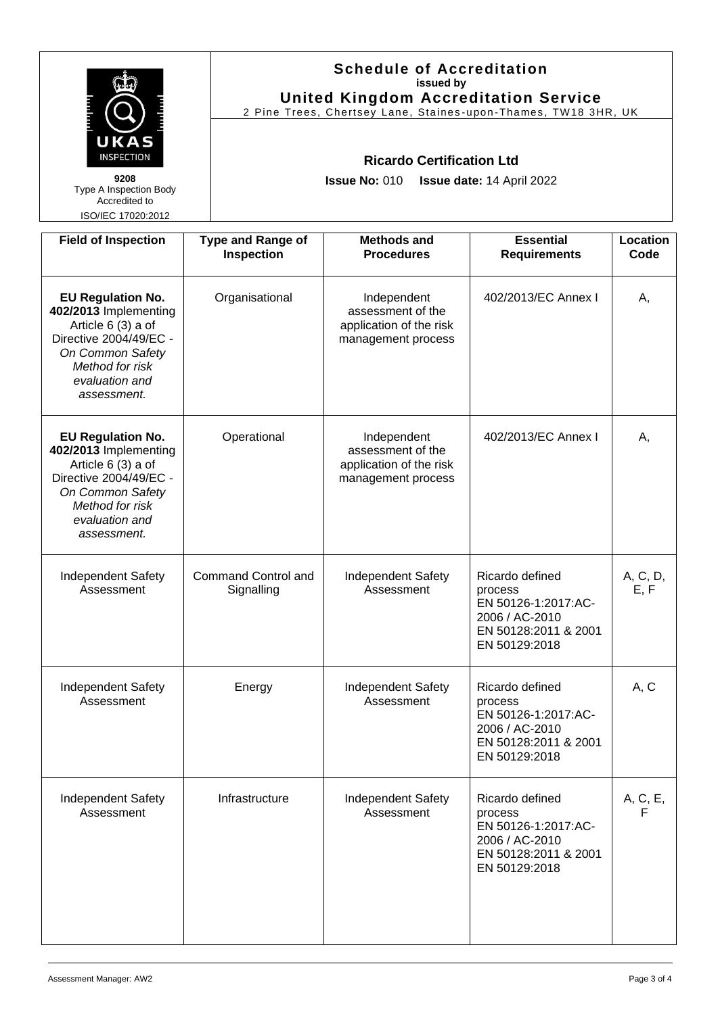| UKAS                                                                                                                                                                      |                                          | <b>Schedule of Accreditation</b><br>issued by<br><b>United Kingdom Accreditation Service</b><br>2 Pine Trees, Chertsey Lane, Staines-upon-Thames, TW18 3HR, UK |                                                                                                              |                  |  |
|---------------------------------------------------------------------------------------------------------------------------------------------------------------------------|------------------------------------------|----------------------------------------------------------------------------------------------------------------------------------------------------------------|--------------------------------------------------------------------------------------------------------------|------------------|--|
| <b>INSPECTION</b><br>9208<br>Type A Inspection Body<br>Accredited to<br>ISO/IEC 17020:2012                                                                                |                                          | <b>Ricardo Certification Ltd</b><br><b>Issue No: 010</b><br>Issue date: 14 April 2022                                                                          |                                                                                                              |                  |  |
| <b>Field of Inspection</b>                                                                                                                                                | <b>Type and Range of</b><br>Inspection   | <b>Methods and</b><br><b>Procedures</b>                                                                                                                        | <b>Essential</b><br><b>Requirements</b>                                                                      | Location<br>Code |  |
| <b>EU Regulation No.</b><br>402/2013 Implementing<br>Article 6 (3) a of<br>Directive 2004/49/EC -<br>On Common Safety<br>Method for risk<br>evaluation and<br>assessment. | Organisational                           | Independent<br>assessment of the<br>application of the risk<br>management process                                                                              | 402/2013/EC Annex I                                                                                          | А,               |  |
| <b>EU Regulation No.</b><br>402/2013 Implementing<br>Article 6 (3) a of<br>Directive 2004/49/EC -<br>On Common Safety<br>Method for risk<br>evaluation and<br>assessment. | Operational                              | Independent<br>assessment of the<br>application of the risk<br>management process                                                                              | 402/2013/EC Annex I                                                                                          | А,               |  |
| <b>Independent Safety</b><br>Assessment                                                                                                                                   | <b>Command Control and</b><br>Signalling | <b>Independent Safety</b><br>Assessment                                                                                                                        | Ricardo defined<br>process<br>EN 50126-1:2017:AC-<br>2006 / AC-2010<br>EN 50128:2011 & 2001<br>EN 50129:2018 | A, C, D,<br>E, F |  |
| <b>Independent Safety</b><br>Assessment                                                                                                                                   | Energy                                   | <b>Independent Safety</b><br>Assessment                                                                                                                        | Ricardo defined<br>process<br>EN 50126-1:2017:AC-<br>2006 / AC-2010<br>EN 50128:2011 & 2001<br>EN 50129:2018 | A, C             |  |
| Independent Safety<br>Assessment                                                                                                                                          | Infrastructure                           | Independent Safety<br>Assessment                                                                                                                               | Ricardo defined<br>process<br>EN 50126-1:2017:AC-<br>2006 / AC-2010<br>EN 50128:2011 & 2001<br>EN 50129:2018 | A, C, E,<br>F    |  |